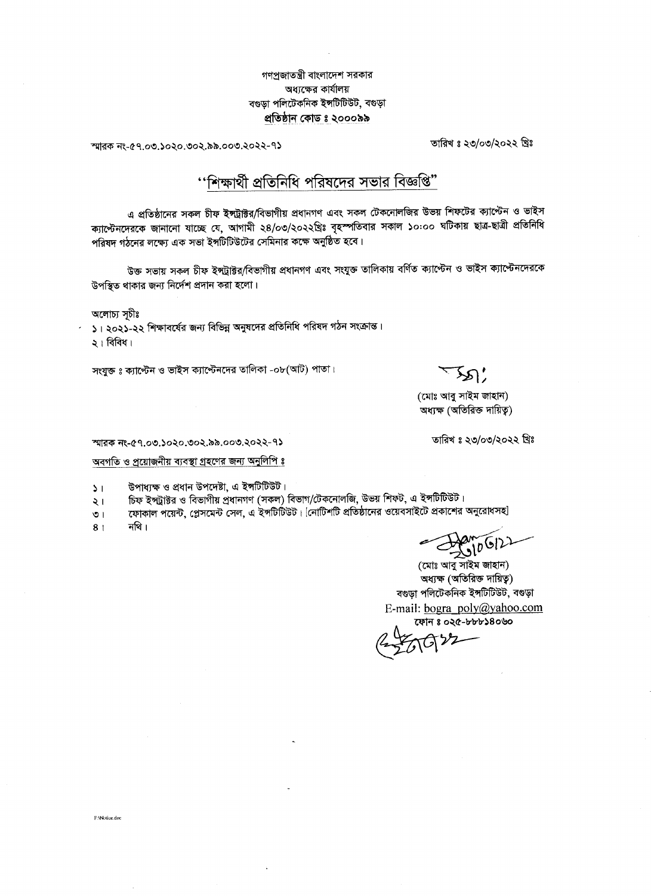## গণপ্ৰজাতন্ত্ৰী বাংলাদেশ সরকার অধ্যক্ষের কার্যালয় বগুড়া পলিটেকনিক ইঙ্গটিটিউট, বগুড়া প্ৰতিষ্ঠান কোড ঃ ২০০০৯৯

Jthap`-@q.oo.)o`o.oo`.@@.ooo.`o``-q> rfu 8 `0;0®/`0`` &8

<u>''শিক্ষার্থী প্রতিনিধি পরিষদের সভার বিজ্ঞপি"</u>

এ প্রতিষ্ঠানের সকল চীফ ইন্দট্রাক্টর/বিভাগীয় প্রধানগণ এবং সকল টেকনোলজির উভয় শিফটের ক্যাস্টেন ও ভাইস ক্যাপ্টেনদেরকে জানানো যাচ্ছে যে, আগামী ২৪/০৩/২০২২খ্রিঃ বৃহস্পতিবার সকাল ১০:০০ ঘটিকায় ছাত্র-ছাত্রী প্রতিনিধি পরিষদ গঠনের লক্ষ্যে এক সভা ইন্সটিটিউটের সেমিনার কক্ষে অনুষ্ঠিত হবে।

উক্ত সভায় সকল চীফ ইন্সট্রাক্টর/বিভাগীয় প্রধানগণ এবং সংযুক্ত তালিকায় বর্ণিত ক্যাপ্টেন ও ভাইস ক্যাপ্টেনদেরকে উপস্থিত থাকার জন্য নির্দেশ প্রদান করা হলো।

অলোচ্য সূচীঃ

১। ২০২১-২২ শিক্ষাবর্ষের জন্য বিভিন্ন অনুষদের প্রতিনিধি পরিষদ গঠন সংক্রান্ত।  $\mathsf{a}$ া বিবিধ।

সংযুক্ত ঃ ক্যাপ্টেন ও ভাইস ক্যাপ্টেনদের তালিকা -o৮(আট) পাতা।

 $\mathfrak{D}'$ 

(মোঃ আবু সাইম জাহান) অধ্যক্ষ (অতিরিক্ত দায়িত্ব)

তারিখ ঃ ২৩/০৩/২০২২ খ্রিঃ

ম্মারক নং-৫৭.০৩.১০২০.৩০২.৯৯.০০৩.২০২২-৭১

অবগতি ও প্রয়োজনীয় ব্যবস্থা গ্রহণের জন্য <u>অনুলিপি ঃ</u>

উপাধ্যক্ষ ও প্রধান উপদেষ্টা, এ ইন্সটিটিউট।  $\sum$ 

চিফ ইন্দ্রীষ্টর ও বিভাগীয় প্রধানগণ (সকল) বিভাগ/টেকনোলজি, উভয় শিফট, এ ইন্সটিটিউট। ২।

যোকাল পয়েন্ট, প্লেসমেন্ট সেল, এ ইন্সটিটিউট। [নোটিশটি প্রতিষ্ঠানের ওয়েবসাইটে প্রকাশের অনুরোধসহ]  $\overline{O}$  |

নথি।  $8<sub>1</sub>$ 

 $210612$ 

(মোঃ আবু সাইম জাহান) অধ্যক্ষ (অতিরিক্ত দায়িত্ব) বগুড়া পলিটেকনিক ইন্সটিটিউট, বগুড়া E-mail: bogra\_poly@yahoo.com কোন ঃ ০২৫-৮৮৮১৪০৬০

F:\Notice.doc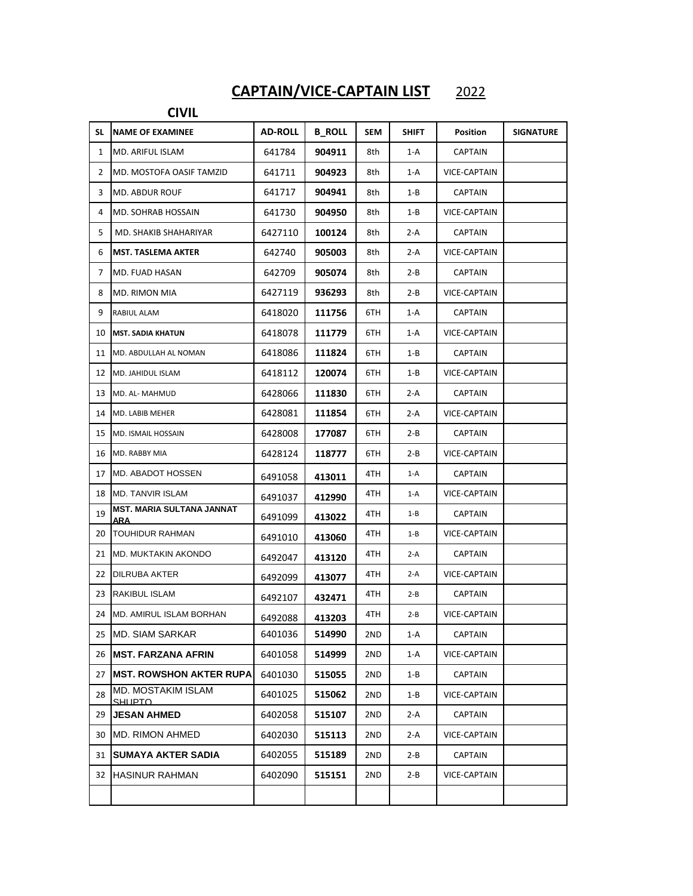## **CAPTAIN/VICE-CAPTAIN LIST** 2022

## **CIVIL**

| SL.            | <b>NAME OF EXAMINEE</b>                     | <b>AD-ROLL</b> | <b>B ROLL</b> | SEM  | SHIFT   | Position            | <b>SIGNATURE</b> |
|----------------|---------------------------------------------|----------------|---------------|------|---------|---------------------|------------------|
| $\mathbf{1}$   | MD. ARIFUL ISLAM                            | 641784         | 904911        | 8th  | 1-A     | CAPTAIN             |                  |
| $\overline{2}$ | MD. MOSTOFA OASIF TAMZID                    | 641711         | 904923        | 8th  | 1-A     | VICE-CAPTAIN        |                  |
| 3              | MD. ABDUR ROUF                              | 641717         | 904941        | 8th  | 1-B     | <b>CAPTAIN</b>      |                  |
| 4              | MD. SOHRAB HOSSAIN                          | 641730         | 904950        | 8th  | 1-B     | VICE-CAPTAIN        |                  |
| 5              | MD. SHAKIB SHAHARIYAR                       | 6427110        | 100124        | 8th  | 2-A     | <b>CAPTAIN</b>      |                  |
| 6              | <b>MST. TASLEMA AKTER</b>                   | 642740         | 905003        | 8th  | 2-A     | <b>VICE-CAPTAIN</b> |                  |
| 7              | MD. FUAD HASAN                              | 642709         | 905074        | 8th  | 2-B     | <b>CAPTAIN</b>      |                  |
| 8              | MD. RIMON MIA                               | 6427119        | 936293        | 8th  | 2-B     | VICE-CAPTAIN        |                  |
| 9              | RABIUL ALAM                                 | 6418020        | 111756        | 6TH  | 1-A     | <b>CAPTAIN</b>      |                  |
| 10             | <b>MST. SADIA KHATUN</b>                    | 6418078        | 111779        | 6TH  | 1-A     | VICE-CAPTAIN        |                  |
| 11             | MD. ABDULLAH AL NOMAN                       | 6418086        | 111824        | 6TH  | 1-B     | <b>CAPTAIN</b>      |                  |
| 12             | MD. JAHIDUL ISLAM                           | 6418112        | 120074        | 6TH  | 1-B     | VICE-CAPTAIN        |                  |
| 13             | MD. AL- MAHMUD                              | 6428066        | 111830        | 6TH  | 2-A     | CAPTAIN             |                  |
|                | 14 MD. LABIB MEHER                          | 6428081        | 111854        | 6TH  | 2-A     | VICE-CAPTAIN        |                  |
| 15             | <b>MD. ISMAIL HOSSAIN</b>                   | 6428008        | 177087        | 6TH  | 2-B     | CAPTAIN             |                  |
|                | 16 MD. RABBY MIA                            | 6428124        | 118777        | 6TH  | 2-B     | VICE-CAPTAIN        |                  |
| 17             | <b>MD. ABADOT HOSSEN</b>                    | 6491058        | 413011        | 4TH  | $1-A$   | <b>CAPTAIN</b>      |                  |
| 18             | <b>MD. TANVIR ISLAM</b>                     | 6491037        | 412990        | 4TH  | $1-A$   | VICE-CAPTAIN        |                  |
| 19             | <b>MST. MARIA SULTANA JANNAT</b><br>ARA     | 6491099        | 413022        | 4TH  | $1 - B$ | <b>CAPTAIN</b>      |                  |
| 20             | <b>TOUHIDUR RAHMAN</b>                      | 6491010        | 413060        | 4TH  | $1 - B$ | VICE-CAPTAIN        |                  |
| 21             | <b>MD. MUKTAKIN AKONDO</b>                  | 6492047        | 413120        | 4TH. | 2-A     | <b>CAPTAIN</b>      |                  |
| 22             | <b>DILRUBA AKTER</b>                        | 6492099        | 413077        | 4TH  | 2-A     | VICE-CAPTAIN        |                  |
| 23             | <b>RAKIBUL ISLAM</b>                        | 6492107        | 432471        | 4TH  | $2 - B$ | CAPTAIN             |                  |
| 24             | MD. AMIRUL ISLAM BORHAN                     | 6492088        | 413203        | 4TH  | $2 - B$ | VICE-CAPTAIN        |                  |
| 25             | <b>MD. SIAM SARKAR</b>                      | 6401036        | 514990        | 2ND  | 1-A     | CAPTAIN             |                  |
| 26             | <b>IMST. FARZANA AFRIN</b>                  | 6401058        | 514999        | 2ND  | 1-A     | VICE-CAPTAIN        |                  |
| 27             | <b>IMST. ROWSHON AKTER RUPA</b>             | 6401030        | 515055        | 2ND  | 1-B     | CAPTAIN             |                  |
| 28             | <b>MD. MOSTAKIM ISLAM</b><br><b>SHLIPTO</b> | 6401025        | 515062        | 2ND  | $1 - B$ | VICE-CAPTAIN        |                  |
| 29             | <b>JESAN AHMED</b>                          | 6402058        | 515107        | 2ND  | 2-A     | CAPTAIN             |                  |
|                | 30 MD. RIMON AHMED                          | 6402030        | 515113        | 2ND  | 2-A     | VICE-CAPTAIN        |                  |
| 31             | SUMAYA AKTER SADIA                          | 6402055        | 515189        | 2ND  | 2-B     | CAPTAIN             |                  |
| 32             | <b>HASINUR RAHMAN</b>                       | 6402090        | 515151        | 2ND  | 2-B     | VICE-CAPTAIN        |                  |
|                |                                             |                |               |      |         |                     |                  |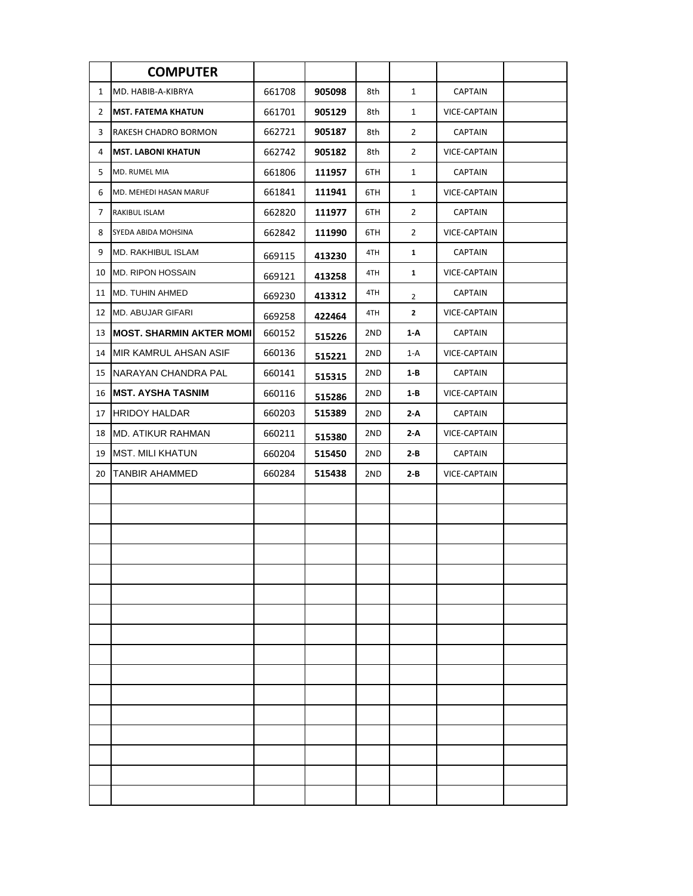|                | <b>COMPUTER</b>                  |        |        |     |                |                     |  |
|----------------|----------------------------------|--------|--------|-----|----------------|---------------------|--|
| $\mathbf{1}$   | MD. HABIB-A-KIBRYA               | 661708 | 905098 | 8th | $\mathbf{1}$   | <b>CAPTAIN</b>      |  |
| $\overline{2}$ | <b>MST. FATEMA KHATUN</b>        | 661701 | 905129 | 8th | $\mathbf{1}$   | VICE-CAPTAIN        |  |
| 3              | RAKESH CHADRO BORMON             | 662721 | 905187 | 8th | $\overline{2}$ | <b>CAPTAIN</b>      |  |
| 4              | <b>MST. LABONI KHATUN</b>        | 662742 | 905182 | 8th | $\overline{2}$ | VICE-CAPTAIN        |  |
| 5              | <b>MD. RUMEL MIA</b>             | 661806 | 111957 | 6TH | $\mathbf{1}$   | <b>CAPTAIN</b>      |  |
| 6              | MD. MEHEDI HASAN MARUF           | 661841 | 111941 | 6TH | $\mathbf{1}$   | VICE-CAPTAIN        |  |
| 7              | RAKIBUL ISLAM                    | 662820 | 111977 | 6TH | $\overline{2}$ | <b>CAPTAIN</b>      |  |
| 8              | SYEDA ABIDA MOHSINA              | 662842 | 111990 | 6TH | $\overline{2}$ | VICE-CAPTAIN        |  |
| 9              | <b>MD. RAKHIBUL ISLAM</b>        | 669115 | 413230 | 4TH | 1              | CAPTAIN             |  |
| 10             | <b>MD. RIPON HOSSAIN</b>         | 669121 | 413258 | 4TH | $\mathbf{1}$   | VICE-CAPTAIN        |  |
| 11             | <b>MD. TUHIN AHMED</b>           | 669230 | 413312 | 4TH | $\overline{2}$ | <b>CAPTAIN</b>      |  |
| 12             | <b>MD. ABUJAR GIFARI</b>         | 669258 | 422464 | 4TH | $\mathbf{2}$   | VICE-CAPTAIN        |  |
| 13             | <b>IMOST. SHARMIN AKTER MOMI</b> | 660152 | 515226 | 2ND | 1-A            | <b>CAPTAIN</b>      |  |
| 14             | MIR KAMRUL AHSAN ASIF            | 660136 | 515221 | 2ND | 1-A            | <b>VICE-CAPTAIN</b> |  |
| 15             | INARAYAN CHANDRA PAL             | 660141 | 515315 | 2ND | 1-B            | <b>CAPTAIN</b>      |  |
| 16             | <b>IMST. AYSHA TASNIM</b>        | 660116 | 515286 | 2ND | 1-B            | VICE-CAPTAIN        |  |
| 17             | <b>HRIDOY HALDAR</b>             | 660203 | 515389 | 2ND | 2-A            | <b>CAPTAIN</b>      |  |
| 18             | <b>MD. ATIKUR RAHMAN</b>         | 660211 | 515380 | 2ND | 2-A            | VICE-CAPTAIN        |  |
| 19             | <b>MST. MILI KHATUN</b>          | 660204 | 515450 | 2ND | 2-B            | <b>CAPTAIN</b>      |  |
| 20             | <b>TANBIR AHAMMED</b>            | 660284 | 515438 | 2ND | 2-B            | VICE-CAPTAIN        |  |
|                |                                  |        |        |     |                |                     |  |
|                |                                  |        |        |     |                |                     |  |
|                |                                  |        |        |     |                |                     |  |
|                |                                  |        |        |     |                |                     |  |
|                |                                  |        |        |     |                |                     |  |
|                |                                  |        |        |     |                |                     |  |
|                |                                  |        |        |     |                |                     |  |
|                |                                  |        |        |     |                |                     |  |
|                |                                  |        |        |     |                |                     |  |
|                |                                  |        |        |     |                |                     |  |
|                |                                  |        |        |     |                |                     |  |
|                |                                  |        |        |     |                |                     |  |
|                |                                  |        |        |     |                |                     |  |
|                |                                  |        |        |     |                |                     |  |
|                |                                  |        |        |     |                |                     |  |
|                |                                  |        |        |     |                |                     |  |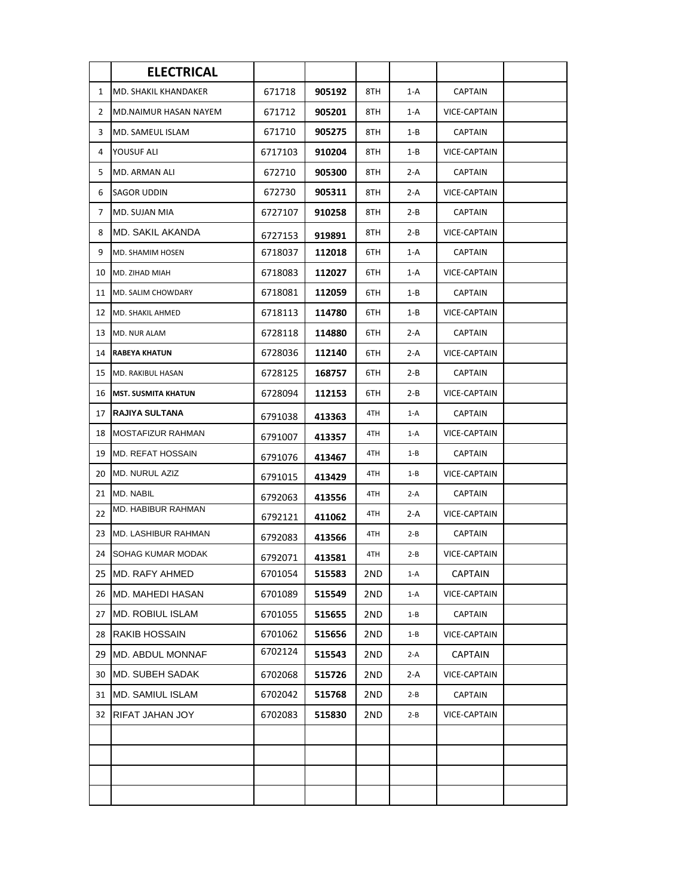|              | <b>ELECTRICAL</b>           |         |        |     |         |                     |  |
|--------------|-----------------------------|---------|--------|-----|---------|---------------------|--|
| $\mathbf{1}$ | <b>MD. SHAKIL KHANDAKER</b> | 671718  | 905192 | 8TH | $1-A$   | <b>CAPTAIN</b>      |  |
| 2            | MD.NAIMUR HASAN NAYEM       | 671712  | 905201 | 8TH | 1-A     | <b>VICE-CAPTAIN</b> |  |
| 3            | <b>MD. SAMEUL ISLAM</b>     | 671710  | 905275 | 8TH | $1 - B$ | <b>CAPTAIN</b>      |  |
| 4            | YOUSUF ALI                  | 6717103 | 910204 | 8TH | $1 - B$ | <b>VICE-CAPTAIN</b> |  |
| 5            | <b>MD. ARMAN ALI</b>        | 672710  | 905300 | 8TH | 2-A     | <b>CAPTAIN</b>      |  |
| 6            | SAGOR UDDIN                 | 672730  | 905311 | 8TH | 2-A     | VICE-CAPTAIN        |  |
| 7            | MD. SUJAN MIA               | 6727107 | 910258 | 8TH | 2-B     | <b>CAPTAIN</b>      |  |
| 8            | MD. SAKIL AKANDA            | 6727153 | 919891 | 8TH | $2 - B$ | VICE-CAPTAIN        |  |
| 9            | MD. SHAMIM HOSEN            | 6718037 | 112018 | 6TH | 1-A     | <b>CAPTAIN</b>      |  |
| 10           | MD. ZIHAD MIAH              | 6718083 | 112027 | 6TH | 1-A     | VICE-CAPTAIN        |  |
| 11           | MD. SALIM CHOWDARY          | 6718081 | 112059 | 6TH | $1 - B$ | <b>CAPTAIN</b>      |  |
| 12           | MD. SHAKIL AHMED            | 6718113 | 114780 | 6TH | $1 - B$ | VICE-CAPTAIN        |  |
| 13           | MD. NUR ALAM                | 6728118 | 114880 | 6TH | $2-A$   | <b>CAPTAIN</b>      |  |
| 14           | <b>RABEYA KHATUN</b>        | 6728036 | 112140 | 6TH | 2-A     | <b>VICE-CAPTAIN</b> |  |
| 15           | MD. RAKIBUL HASAN           | 6728125 | 168757 | 6TH | $2 - B$ | <b>CAPTAIN</b>      |  |
| 16           | <b>MST. SUSMITA KHATUN</b>  | 6728094 | 112153 | 6TH | $2 - B$ | <b>VICE-CAPTAIN</b> |  |
| 17           | RAJIYA SULTANA              | 6791038 | 413363 | 4TH | $1-A$   | <b>CAPTAIN</b>      |  |
| 18           | <b>MOSTAFIZUR RAHMAN</b>    | 6791007 | 413357 | 4TH | $1-A$   | <b>VICE-CAPTAIN</b> |  |
| 19           | <b>MD. REFAT HOSSAIN</b>    | 6791076 | 413467 | 4TH | $1 - B$ | <b>CAPTAIN</b>      |  |
| 20           | <b>MD. NURUL AZIZ</b>       | 6791015 | 413429 | 4TH | $1 - B$ | <b>VICE-CAPTAIN</b> |  |
| 21           | MD. NABIL                   | 6792063 | 413556 | 4TH | $2-A$   | <b>CAPTAIN</b>      |  |
| 22           | MD. HABIBUR RAHMAN          | 6792121 | 411062 | 4TH | 2-A     | VICE-CAPTAIN        |  |
| 23           | <b>MD. LASHIBUR RAHMAN</b>  | 6792083 | 413566 | 4TH | $2 - B$ | <b>CAPTAIN</b>      |  |
| 24           | <b>SOHAG KUMAR MODAK</b>    | 6792071 | 413581 | 4TH | $2 - B$ | <b>VICE-CAPTAIN</b> |  |
|              | 25 IMD. RAFY AHMED          | 6701054 | 515583 | 2ND | $1-A$   | <b>CAPTAIN</b>      |  |
|              | 26 MD. MAHEDI HASAN         | 6701089 | 515549 | 2ND | $1-A$   | <b>VICE-CAPTAIN</b> |  |
| 27           | <b>MD. ROBIUL ISLAM</b>     | 6701055 | 515655 | 2ND | $1 - B$ | <b>CAPTAIN</b>      |  |
| 28           | <b>RAKIB HOSSAIN</b>        | 6701062 | 515656 | 2ND | $1 - B$ | <b>VICE-CAPTAIN</b> |  |
| 29           | MD. ABDUL MONNAF            | 6702124 | 515543 | 2ND | $2-A$   | <b>CAPTAIN</b>      |  |
| 30           | IMD. SUBEH SADAK            | 6702068 | 515726 | 2ND | 2-A     | VICE-CAPTAIN        |  |
| 31           | <b>MD. SAMIUL ISLAM</b>     | 6702042 | 515768 | 2ND | $2 - B$ | <b>CAPTAIN</b>      |  |
| 32           | RIFAT JAHAN JOY             | 6702083 | 515830 | 2ND | $2 - B$ | VICE-CAPTAIN        |  |
|              |                             |         |        |     |         |                     |  |
|              |                             |         |        |     |         |                     |  |
|              |                             |         |        |     |         |                     |  |
|              |                             |         |        |     |         |                     |  |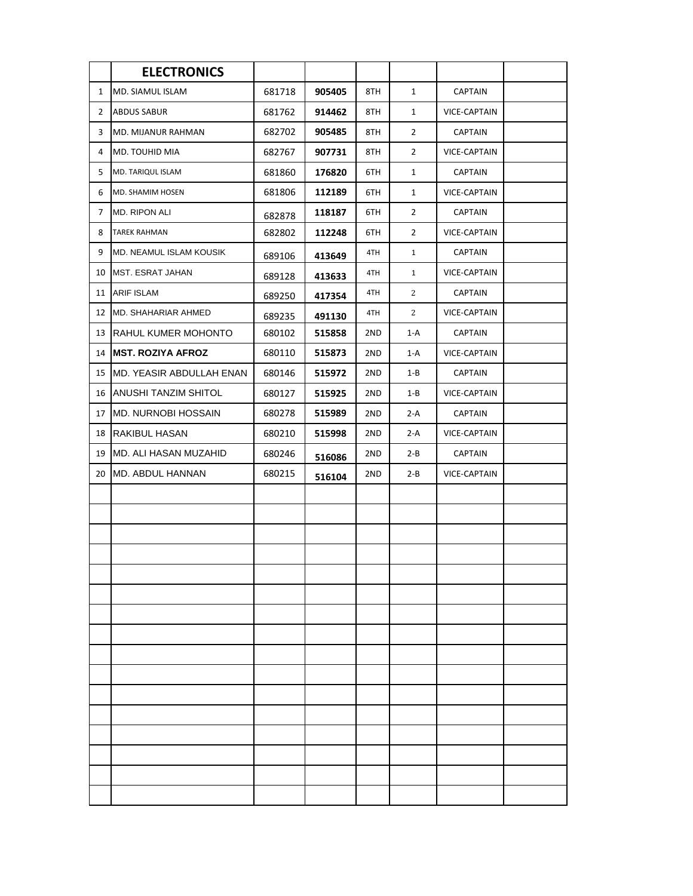|              | <b>ELECTRONICS</b>          |        |        |     |                |                |  |
|--------------|-----------------------------|--------|--------|-----|----------------|----------------|--|
| $\mathbf{1}$ | MD. SIAMUL ISLAM            | 681718 | 905405 | 8TH | $\mathbf{1}$   | <b>CAPTAIN</b> |  |
| 2            | <b>ABDUS SABUR</b>          | 681762 | 914462 | 8TH | $\mathbf{1}$   | VICE-CAPTAIN   |  |
| 3            | MD. MIJANUR RAHMAN          | 682702 | 905485 | 8TH | $\overline{2}$ | <b>CAPTAIN</b> |  |
| 4            | MD. TOUHID MIA              | 682767 | 907731 | 8TH | $\overline{2}$ | VICE-CAPTAIN   |  |
| 5            | MD. TARIQUL ISLAM           | 681860 | 176820 | 6TH | $\mathbf{1}$   | <b>CAPTAIN</b> |  |
| 6            | MD. SHAMIM HOSEN            | 681806 | 112189 | 6TH | $\mathbf{1}$   | VICE-CAPTAIN   |  |
| 7            | <b>MD. RIPON ALI</b>        | 682878 | 118187 | 6TH | $\overline{2}$ | <b>CAPTAIN</b> |  |
| 8            | <b>TAREK RAHMAN</b>         | 682802 | 112248 | 6TH | 2              | VICE-CAPTAIN   |  |
| 9            | MD. NEAMUL ISLAM KOUSIK     | 689106 | 413649 | 4TH | $\mathbf{1}$   | <b>CAPTAIN</b> |  |
| 10           | <b>MST. ESRAT JAHAN</b>     | 689128 | 413633 | 4TH | $\mathbf{1}$   | VICE-CAPTAIN   |  |
| 11           | <b>ARIF ISLAM</b>           | 689250 | 417354 | 4TH | 2              | <b>CAPTAIN</b> |  |
| 12           | <b>MD. SHAHARIAR AHMED</b>  | 689235 | 491130 | 4TH | 2              | VICE-CAPTAIN   |  |
| 13           | RAHUL KUMER MOHONTO         | 680102 | 515858 | 2ND | 1-A            | <b>CAPTAIN</b> |  |
| 14           | <b>IMST. ROZIYA AFROZ</b>   | 680110 | 515873 | 2ND | 1-A            | VICE-CAPTAIN   |  |
| 15           | MD. YEASIR ABDULLAH ENAN    | 680146 | 515972 | 2ND | $1 - B$        | <b>CAPTAIN</b> |  |
| 16           | <b>ANUSHI TANZIM SHITOL</b> | 680127 | 515925 | 2ND | 1-B            | VICE-CAPTAIN   |  |
| 17           | <b>MD. NURNOBI HOSSAIN</b>  | 680278 | 515989 | 2ND | 2-A            | <b>CAPTAIN</b> |  |
| 18           | RAKIBUL HASAN               | 680210 | 515998 | 2ND | 2-A            | VICE-CAPTAIN   |  |
| 19           | MD. ALI HASAN MUZAHID       | 680246 | 516086 | 2ND | $2 - B$        | <b>CAPTAIN</b> |  |
| 20           | <b>MD. ABDUL HANNAN</b>     | 680215 | 516104 | 2ND | $2 - B$        | VICE-CAPTAIN   |  |
|              |                             |        |        |     |                |                |  |
|              |                             |        |        |     |                |                |  |
|              |                             |        |        |     |                |                |  |
|              |                             |        |        |     |                |                |  |
|              |                             |        |        |     |                |                |  |
|              |                             |        |        |     |                |                |  |
|              |                             |        |        |     |                |                |  |
|              |                             |        |        |     |                |                |  |
|              |                             |        |        |     |                |                |  |
|              |                             |        |        |     |                |                |  |
|              |                             |        |        |     |                |                |  |
|              |                             |        |        |     |                |                |  |
|              |                             |        |        |     |                |                |  |
|              |                             |        |        |     |                |                |  |
|              |                             |        |        |     |                |                |  |
|              |                             |        |        |     |                |                |  |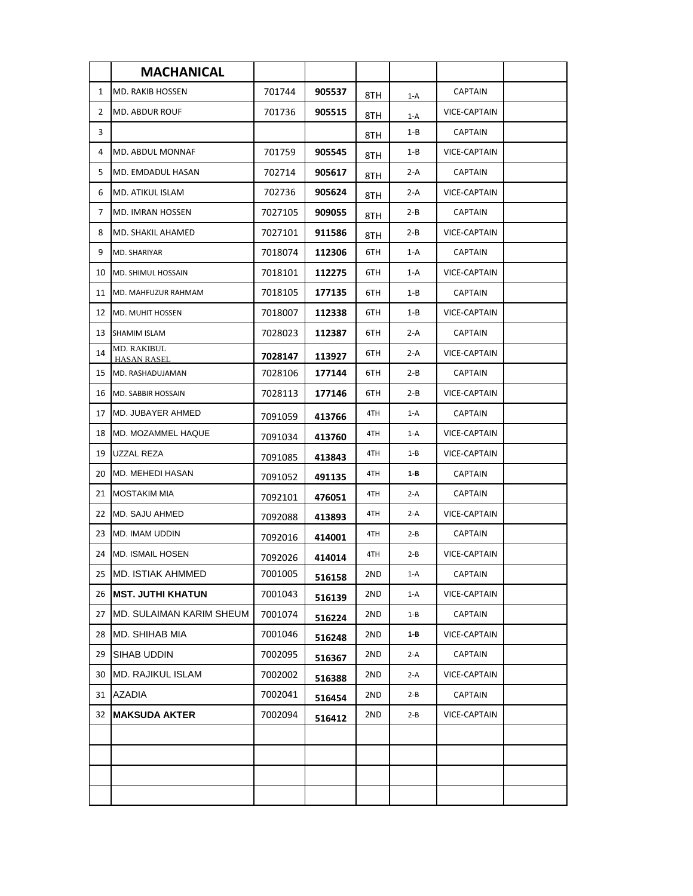|              | <b>MACHANICAL</b>                 |         |        |     |         |                     |  |
|--------------|-----------------------------------|---------|--------|-----|---------|---------------------|--|
| $\mathbf{1}$ | <b>MD. RAKIB HOSSEN</b>           | 701744  | 905537 | 8TH | $1-A$   | <b>CAPTAIN</b>      |  |
| 2            | MD. ABDUR ROUF                    | 701736  | 905515 | 8TH | $1-A$   | <b>VICE-CAPTAIN</b> |  |
| 3            |                                   |         |        | 8TH | 1-B     | <b>CAPTAIN</b>      |  |
| 4            | MD. ABDUL MONNAF                  | 701759  | 905545 | 8TH | 1-B     | <b>VICE-CAPTAIN</b> |  |
| 5            | MD. EMDADUL HASAN                 | 702714  | 905617 | 8TH | 2-A     | <b>CAPTAIN</b>      |  |
| 6            | MD. ATIKUL ISLAM                  | 702736  | 905624 | 8TH | 2-A     | <b>VICE-CAPTAIN</b> |  |
| 7            | MD. IMRAN HOSSEN                  | 7027105 | 909055 | 8TH | $2 - B$ | <b>CAPTAIN</b>      |  |
| 8            | MD. SHAKIL AHAMED                 | 7027101 | 911586 | 8TH | 2-B     | VICE-CAPTAIN        |  |
| 9            | MD. SHARIYAR                      | 7018074 | 112306 | 6TH | $1-A$   | <b>CAPTAIN</b>      |  |
| 10           | MD. SHIMUL HOSSAIN                | 7018101 | 112275 | 6TH | $1-A$   | VICE-CAPTAIN        |  |
| 11           | MD. MAHFUZUR RAHMAM               | 7018105 | 177135 | 6TH | $1 - B$ | <b>CAPTAIN</b>      |  |
| 12           | <b>MD. MUHIT HOSSEN</b>           | 7018007 | 112338 | 6TH | 1-B     | <b>VICE-CAPTAIN</b> |  |
| 13           | SHAMIM ISLAM                      | 7028023 | 112387 | 6TH | 2-A     | <b>CAPTAIN</b>      |  |
| 14           | MD. RAKIBUL<br><b>HASAN RASEL</b> | 7028147 | 113927 | 6TH | 2-A     | <b>VICE-CAPTAIN</b> |  |
| 15           | MD. RASHADUJAMAN                  | 7028106 | 177144 | 6TH | $2 - B$ | <b>CAPTAIN</b>      |  |
| 16           | MD. SABBIR HOSSAIN                | 7028113 | 177146 | 6TH | $2 - B$ | <b>VICE-CAPTAIN</b> |  |
| 17           | MD. JUBAYER AHMED                 | 7091059 | 413766 | 4TH | $1-A$   | CAPTAIN             |  |
| 18           | MD. MOZAMMEL HAQUE                | 7091034 | 413760 | 4TH | 1-A     | <b>VICE-CAPTAIN</b> |  |
| 19           | UZZAL REZA                        | 7091085 | 413843 | 4TH | $1 - B$ | <b>VICE-CAPTAIN</b> |  |
| 20           | MD. MEHEDI HASAN                  | 7091052 | 491135 | 4TH | 1-B     | <b>CAPTAIN</b>      |  |
| 21           | <b>MOSTAKIM MIA</b>               | 7092101 | 476051 | 4TH | $2-A$   | <b>CAPTAIN</b>      |  |
| 22           | MD. SAJU AHMED                    | 7092088 | 413893 | 4TH | $2-A$   | <b>VICE-CAPTAIN</b> |  |
| 23           | <b>MD. IMAM UDDIN</b>             | 7092016 | 414001 | 4TH | $2 - B$ | <b>CAPTAIN</b>      |  |
| 24           | <b>MD. ISMAIL HOSEN</b>           | 7092026 | 414014 | 4TH | $2 - B$ | <b>VICE-CAPTAIN</b> |  |
| 25           | <b>MD. ISTIAK AHMMED</b>          | 7001005 | 516158 | 2ND | $1-A$   | <b>CAPTAIN</b>      |  |
| 26           | <b>IMST. JUTHI KHATUN</b>         | 7001043 | 516139 | 2ND | $1-A$   | <b>VICE-CAPTAIN</b> |  |
| 27           | MD. SULAIMAN KARIM SHEUM          | 7001074 | 516224 | 2ND | $1 - B$ | <b>CAPTAIN</b>      |  |
| 28           | MD. SHIHAB MIA                    | 7001046 | 516248 | 2ND | 1-B     | <b>VICE-CAPTAIN</b> |  |
| 29           | SIHAB UDDIN                       | 7002095 | 516367 | 2ND | $2-A$   | <b>CAPTAIN</b>      |  |
| 30           | <b>MD. RAJIKUL ISLAM</b>          | 7002002 | 516388 | 2ND | $2-A$   | VICE-CAPTAIN        |  |
| 31           | <b>AZADIA</b>                     | 7002041 | 516454 | 2ND | $2 - B$ | <b>CAPTAIN</b>      |  |
| 32           | <b>MAKSUDA AKTER</b>              | 7002094 | 516412 | 2ND | $2 - B$ | VICE-CAPTAIN        |  |
|              |                                   |         |        |     |         |                     |  |
|              |                                   |         |        |     |         |                     |  |
|              |                                   |         |        |     |         |                     |  |
|              |                                   |         |        |     |         |                     |  |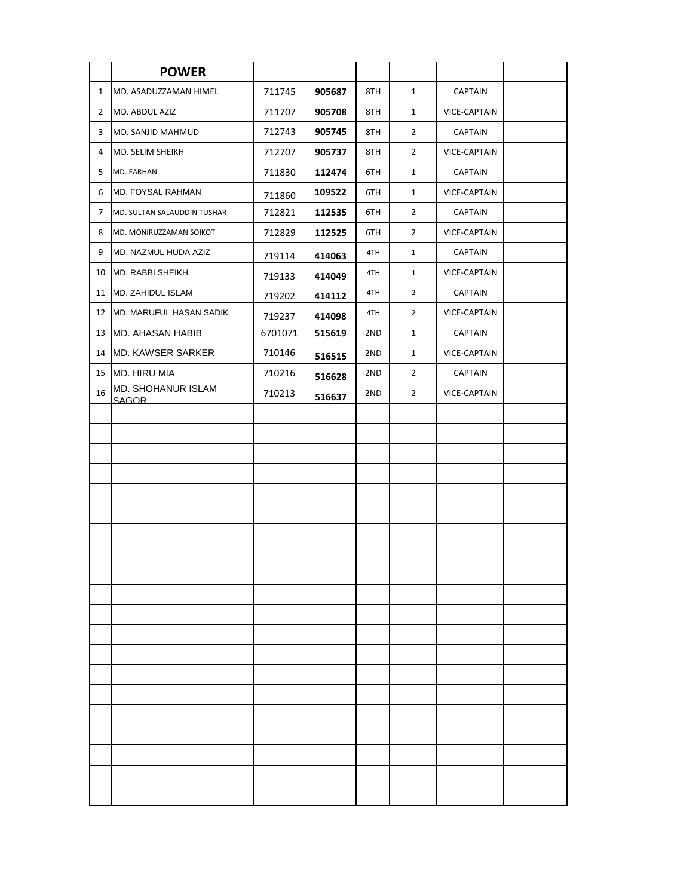|                | <b>POWER</b>                       |         |        |     |                |                     |  |
|----------------|------------------------------------|---------|--------|-----|----------------|---------------------|--|
| $\mathbf{1}$   | MD. ASADUZZAMAN HIMEL              | 711745  | 905687 | 8TH | $\mathbf{1}$   | <b>CAPTAIN</b>      |  |
| $\overline{2}$ | MD. ABDUL AZIZ                     | 711707  | 905708 | 8TH | $\mathbf{1}$   | <b>VICE-CAPTAIN</b> |  |
| 3              | MD. SANJID MAHMUD                  | 712743  | 905745 | 8TH | $\overline{2}$ | <b>CAPTAIN</b>      |  |
| 4              | MD. SELIM SHEIKH                   | 712707  | 905737 | 8TH | $\overline{2}$ | VICE-CAPTAIN        |  |
| 5              | MD. FARHAN                         | 711830  | 112474 | 6TH | $\mathbf{1}$   | <b>CAPTAIN</b>      |  |
| 6              | MD. FOYSAL RAHMAN                  | 711860  | 109522 | 6TH | $\mathbf{1}$   | VICE-CAPTAIN        |  |
| 7              | MD. SULTAN SALAUDDIN TUSHAR        | 712821  | 112535 | 6TH | $\overline{2}$ | <b>CAPTAIN</b>      |  |
| 8              | MD. MONIRUZZAMAN SOIKOT            | 712829  | 112525 | 6TH | $\overline{2}$ | VICE-CAPTAIN        |  |
| 9              | MD. NAZMUL HUDA AZIZ               | 719114  | 414063 | 4TH | $\mathbf{1}$   | <b>CAPTAIN</b>      |  |
| 10             | <b>MD. RABBI SHEIKH</b>            | 719133  | 414049 | 4TH | $\mathbf{1}$   | VICE-CAPTAIN        |  |
| 11             | MD. ZAHIDUL ISLAM                  | 719202  | 414112 | 4TH | $\overline{2}$ | <b>CAPTAIN</b>      |  |
| 12             | MD. MARUFUL HASAN SADIK            | 719237  | 414098 | 4TH | $\overline{2}$ | VICE-CAPTAIN        |  |
| 13             | <b>MD. AHASAN HABIB</b>            | 6701071 | 515619 | 2ND | $\mathbf{1}$   | <b>CAPTAIN</b>      |  |
| 14             | <b>MD. KAWSER SARKER</b>           | 710146  | 516515 | 2ND | $\mathbf{1}$   | <b>VICE-CAPTAIN</b> |  |
| 15             | <b>MD. HIRU MIA</b>                | 710216  | 516628 | 2ND | $\overline{2}$ | <b>CAPTAIN</b>      |  |
| 16             | MD. SHOHANUR ISLAM<br><b>SAGOR</b> | 710213  | 516637 | 2ND | $\overline{2}$ | VICE-CAPTAIN        |  |
|                |                                    |         |        |     |                |                     |  |
|                |                                    |         |        |     |                |                     |  |
|                |                                    |         |        |     |                |                     |  |
|                |                                    |         |        |     |                |                     |  |
|                |                                    |         |        |     |                |                     |  |
|                |                                    |         |        |     |                |                     |  |
|                |                                    |         |        |     |                |                     |  |
|                |                                    |         |        |     |                |                     |  |
|                |                                    |         |        |     |                |                     |  |
|                |                                    |         |        |     |                |                     |  |
|                |                                    |         |        |     |                |                     |  |
|                |                                    |         |        |     |                |                     |  |
|                |                                    |         |        |     |                |                     |  |
|                |                                    |         |        |     |                |                     |  |
|                |                                    |         |        |     |                |                     |  |
|                |                                    |         |        |     |                |                     |  |
|                |                                    |         |        |     |                |                     |  |
|                |                                    |         |        |     |                |                     |  |
|                |                                    |         |        |     |                |                     |  |
|                |                                    |         |        |     |                |                     |  |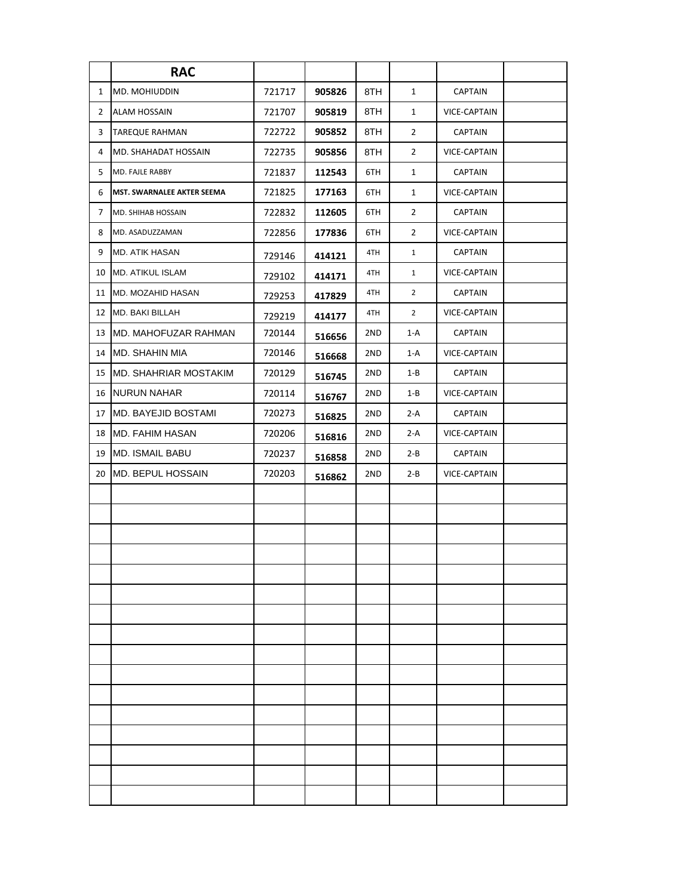|              | <b>RAC</b>                    |        |        |     |                |                     |  |
|--------------|-------------------------------|--------|--------|-----|----------------|---------------------|--|
| $\mathbf{1}$ | <b>MD. MOHIUDDIN</b>          | 721717 | 905826 | 8TH | $\mathbf{1}$   | <b>CAPTAIN</b>      |  |
| $\mathbf{2}$ | <b>ALAM HOSSAIN</b>           | 721707 | 905819 | 8TH | $\mathbf{1}$   | VICE-CAPTAIN        |  |
| 3            | <b>TAREQUE RAHMAN</b>         | 722722 | 905852 | 8TH | $\overline{2}$ | <b>CAPTAIN</b>      |  |
| 4            | MD. SHAHADAT HOSSAIN          | 722735 | 905856 | 8TH | $\overline{2}$ | VICE-CAPTAIN        |  |
| 5.           | MD. FAJLE RABBY               | 721837 | 112543 | 6TH | $\mathbf{1}$   | <b>CAPTAIN</b>      |  |
| 6            | MST. SWARNALEE AKTER SEEMA    | 721825 | 177163 | 6TH | $\mathbf{1}$   | VICE-CAPTAIN        |  |
| 7            | <b>MD. SHIHAB HOSSAIN</b>     | 722832 | 112605 | 6TH | $\overline{2}$ | <b>CAPTAIN</b>      |  |
| 8            | MD. ASADUZZAMAN               | 722856 | 177836 | 6TH | $\overline{2}$ | VICE-CAPTAIN        |  |
| 9            | <b>MD. ATIK HASAN</b>         | 729146 | 414121 | 4TH | $\mathbf{1}$   | <b>CAPTAIN</b>      |  |
| 10           | <b>MD. ATIKUL ISLAM</b>       | 729102 | 414171 | 4TH | $\mathbf{1}$   | VICE-CAPTAIN        |  |
| 11           | <b>MD. MOZAHID HASAN</b>      | 729253 | 417829 | 4TH | $\overline{2}$ | <b>CAPTAIN</b>      |  |
| 12           | MD. BAKI BILLAH               | 729219 | 414177 | 4TH | $\overline{2}$ | <b>VICE-CAPTAIN</b> |  |
| 13           | MD. MAHOFUZAR RAHMAN          | 720144 | 516656 | 2ND | $1-A$          | <b>CAPTAIN</b>      |  |
| 14           | <b>MD. SHAHIN MIA</b>         | 720146 | 516668 | 2ND | 1-A            | VICE-CAPTAIN        |  |
| 15           | <b>IMD. SHAHRIAR MOSTAKIM</b> | 720129 | 516745 | 2ND | $1 - B$        | <b>CAPTAIN</b>      |  |
| 16           | NURUN NAHAR                   | 720114 | 516767 | 2ND | $1 - B$        | VICE-CAPTAIN        |  |
| 17           | <b>MD. BAYEJID BOSTAMI</b>    | 720273 | 516825 | 2ND | $2-A$          | <b>CAPTAIN</b>      |  |
| 18           | <b>MD. FAHIM HASAN</b>        | 720206 | 516816 | 2ND | 2-A            | VICE-CAPTAIN        |  |
| 19           | <b>MD. ISMAIL BABU</b>        | 720237 | 516858 | 2ND | 2-B            | CAPTAIN             |  |
| 20           | MD. BEPUL HOSSAIN             | 720203 | 516862 | 2ND | 2-B            | VICE-CAPTAIN        |  |
|              |                               |        |        |     |                |                     |  |
|              |                               |        |        |     |                |                     |  |
|              |                               |        |        |     |                |                     |  |
|              |                               |        |        |     |                |                     |  |
|              |                               |        |        |     |                |                     |  |
|              |                               |        |        |     |                |                     |  |
|              |                               |        |        |     |                |                     |  |
|              |                               |        |        |     |                |                     |  |
|              |                               |        |        |     |                |                     |  |
|              |                               |        |        |     |                |                     |  |
|              |                               |        |        |     |                |                     |  |
|              |                               |        |        |     |                |                     |  |
|              |                               |        |        |     |                |                     |  |
|              |                               |        |        |     |                |                     |  |
|              |                               |        |        |     |                |                     |  |
|              |                               |        |        |     |                |                     |  |